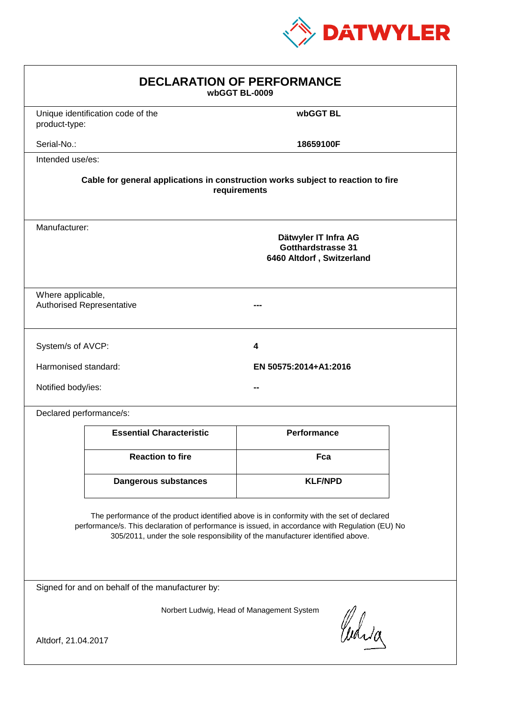

| <b>DECLARATION OF PERFORMANCE</b><br>wbGGT BL-0009                                                                                                                                                                                                                            |                                   |                       |  |  |
|-------------------------------------------------------------------------------------------------------------------------------------------------------------------------------------------------------------------------------------------------------------------------------|-----------------------------------|-----------------------|--|--|
| product-type:                                                                                                                                                                                                                                                                 | Unique identification code of the | wbGGT BL              |  |  |
| Serial-No.:                                                                                                                                                                                                                                                                   |                                   | 18659100F             |  |  |
| Intended use/es:                                                                                                                                                                                                                                                              |                                   |                       |  |  |
| Cable for general applications in construction works subject to reaction to fire<br>requirements                                                                                                                                                                              |                                   |                       |  |  |
| Manufacturer:<br>Dätwyler IT Infra AG<br><b>Gotthardstrasse 31</b><br>6460 Altdorf, Switzerland                                                                                                                                                                               |                                   |                       |  |  |
| Where applicable,<br>Authorised Representative                                                                                                                                                                                                                                |                                   |                       |  |  |
| System/s of AVCP:                                                                                                                                                                                                                                                             |                                   | 4                     |  |  |
| Harmonised standard:                                                                                                                                                                                                                                                          |                                   | EN 50575:2014+A1:2016 |  |  |
| Notified body/ies:                                                                                                                                                                                                                                                            |                                   |                       |  |  |
|                                                                                                                                                                                                                                                                               | Declared performance/s:           |                       |  |  |
|                                                                                                                                                                                                                                                                               | <b>Essential Characteristic</b>   | <b>Performance</b>    |  |  |
|                                                                                                                                                                                                                                                                               | <b>Reaction to fire</b>           | Fca                   |  |  |
|                                                                                                                                                                                                                                                                               | Dangerous substances              | <b>KLF/NPD</b>        |  |  |
| The performance of the product identified above is in conformity with the set of declared<br>performance/s. This declaration of performance is issued, in accordance with Regulation (EU) No<br>305/2011, under the sole responsibility of the manufacturer identified above. |                                   |                       |  |  |
| Signed for and on behalf of the manufacturer by:                                                                                                                                                                                                                              |                                   |                       |  |  |
| Norbert Ludwig, Head of Management System<br>Curia<br>Altdorf, 21.04.2017                                                                                                                                                                                                     |                                   |                       |  |  |
|                                                                                                                                                                                                                                                                               |                                   |                       |  |  |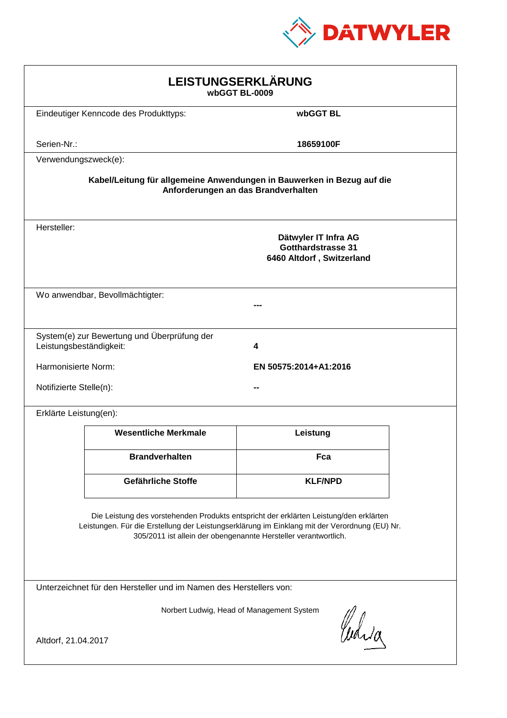

| LEISTUNGSERKLÄRUNG<br>wbGGT BL-0009                                                                                                                                                                                                                        |                                             |                                                                                |  |  |
|------------------------------------------------------------------------------------------------------------------------------------------------------------------------------------------------------------------------------------------------------------|---------------------------------------------|--------------------------------------------------------------------------------|--|--|
|                                                                                                                                                                                                                                                            | Eindeutiger Kenncode des Produkttyps:       | wbGGT BL                                                                       |  |  |
| Serien-Nr.:                                                                                                                                                                                                                                                |                                             | 18659100F                                                                      |  |  |
| Verwendungszweck(e):                                                                                                                                                                                                                                       |                                             |                                                                                |  |  |
| Kabel/Leitung für allgemeine Anwendungen in Bauwerken in Bezug auf die<br>Anforderungen an das Brandverhalten                                                                                                                                              |                                             |                                                                                |  |  |
| Hersteller:                                                                                                                                                                                                                                                |                                             | Dätwyler IT Infra AG<br><b>Gotthardstrasse 31</b><br>6460 Altdorf, Switzerland |  |  |
|                                                                                                                                                                                                                                                            | Wo anwendbar, Bevollmächtigter:             |                                                                                |  |  |
| Leistungsbeständigkeit:                                                                                                                                                                                                                                    | System(e) zur Bewertung und Überprüfung der | 4                                                                              |  |  |
| Harmonisierte Norm:                                                                                                                                                                                                                                        |                                             | EN 50575:2014+A1:2016                                                          |  |  |
| Notifizierte Stelle(n):                                                                                                                                                                                                                                    |                                             |                                                                                |  |  |
| Erklärte Leistung(en):                                                                                                                                                                                                                                     |                                             |                                                                                |  |  |
|                                                                                                                                                                                                                                                            | <b>Wesentliche Merkmale</b>                 | Leistung                                                                       |  |  |
|                                                                                                                                                                                                                                                            | <b>Brandverhalten</b>                       | Fca                                                                            |  |  |
|                                                                                                                                                                                                                                                            | Gefährliche Stoffe                          | <b>KLF/NPD</b>                                                                 |  |  |
| Die Leistung des vorstehenden Produkts entspricht der erklärten Leistung/den erklärten<br>Leistungen. Für die Erstellung der Leistungserklärung im Einklang mit der Verordnung (EU) Nr.<br>305/2011 ist allein der obengenannte Hersteller verantwortlich. |                                             |                                                                                |  |  |
| Unterzeichnet für den Hersteller und im Namen des Herstellers von:                                                                                                                                                                                         |                                             |                                                                                |  |  |
| Norbert Ludwig, Head of Management System<br>Judia<br>Altdorf, 21.04.2017                                                                                                                                                                                  |                                             |                                                                                |  |  |
|                                                                                                                                                                                                                                                            |                                             |                                                                                |  |  |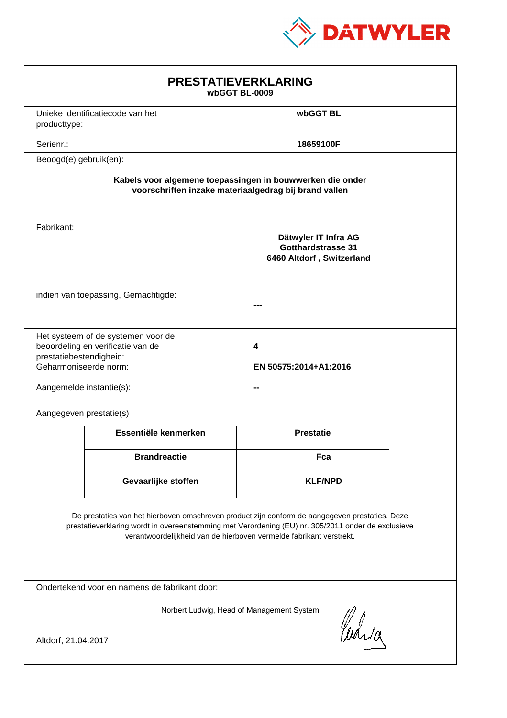

| <b>PRESTATIEVERKLARING</b><br>wbGGT BL-0009                                                                                                                                                                                                                                 |                                                                         |                                                                         |  |  |
|-----------------------------------------------------------------------------------------------------------------------------------------------------------------------------------------------------------------------------------------------------------------------------|-------------------------------------------------------------------------|-------------------------------------------------------------------------|--|--|
| producttype:                                                                                                                                                                                                                                                                | Unieke identificatiecode van het                                        | wbGGT BL                                                                |  |  |
| Serienr.:                                                                                                                                                                                                                                                                   |                                                                         | 18659100F                                                               |  |  |
|                                                                                                                                                                                                                                                                             | Beoogd(e) gebruik(en):                                                  |                                                                         |  |  |
| Kabels voor algemene toepassingen in bouwwerken die onder<br>voorschriften inzake materiaalgedrag bij brand vallen                                                                                                                                                          |                                                                         |                                                                         |  |  |
| Fabrikant:                                                                                                                                                                                                                                                                  |                                                                         | Dätwyler IT Infra AG<br>Gotthardstrasse 31<br>6460 Altdorf, Switzerland |  |  |
|                                                                                                                                                                                                                                                                             | indien van toepassing, Gemachtigde:                                     |                                                                         |  |  |
| prestatiebestendigheid:<br>Geharmoniseerde norm:<br>Aangemelde instantie(s):                                                                                                                                                                                                | Het systeem of de systemen voor de<br>beoordeling en verificatie van de | 4<br>EN 50575:2014+A1:2016                                              |  |  |
| Aangegeven prestatie(s)                                                                                                                                                                                                                                                     |                                                                         |                                                                         |  |  |
|                                                                                                                                                                                                                                                                             | Essentiële kenmerken                                                    | <b>Prestatie</b>                                                        |  |  |
|                                                                                                                                                                                                                                                                             | <b>Brandreactie</b>                                                     | Fca                                                                     |  |  |
|                                                                                                                                                                                                                                                                             | Gevaarlijke stoffen                                                     | <b>KLF/NPD</b>                                                          |  |  |
| De prestaties van het hierboven omschreven product zijn conform de aangegeven prestaties. Deze<br>prestatieverklaring wordt in overeenstemming met Verordening (EU) nr. 305/2011 onder de exclusieve<br>verantwoordelijkheid van de hierboven vermelde fabrikant verstrekt. |                                                                         |                                                                         |  |  |
| Ondertekend voor en namens de fabrikant door:                                                                                                                                                                                                                               |                                                                         |                                                                         |  |  |
| Norbert Ludwig, Head of Management System<br>Waia<br>Altdorf, 21.04.2017                                                                                                                                                                                                    |                                                                         |                                                                         |  |  |
|                                                                                                                                                                                                                                                                             |                                                                         |                                                                         |  |  |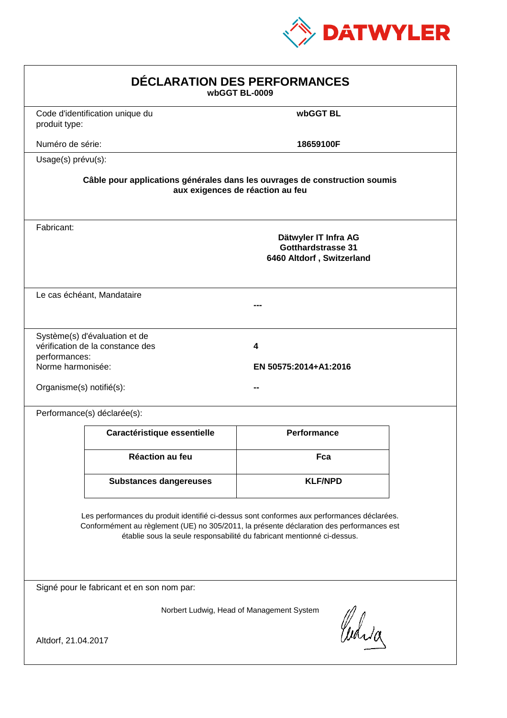

| DÉCLARATION DES PERFORMANCES<br>wbGGT BL-0009                                                                                                                                                                                                                    |                                                                                                                |                                                                                |  |  |  |
|------------------------------------------------------------------------------------------------------------------------------------------------------------------------------------------------------------------------------------------------------------------|----------------------------------------------------------------------------------------------------------------|--------------------------------------------------------------------------------|--|--|--|
| produit type:                                                                                                                                                                                                                                                    | Code d'identification unique du                                                                                | wbGGT BL                                                                       |  |  |  |
| Numéro de série:                                                                                                                                                                                                                                                 |                                                                                                                | 18659100F                                                                      |  |  |  |
| Usage(s) prévu(s):                                                                                                                                                                                                                                               |                                                                                                                |                                                                                |  |  |  |
|                                                                                                                                                                                                                                                                  | Câble pour applications générales dans les ouvrages de construction soumis<br>aux exigences de réaction au feu |                                                                                |  |  |  |
| Fabricant:                                                                                                                                                                                                                                                       |                                                                                                                | Dätwyler IT Infra AG<br><b>Gotthardstrasse 31</b><br>6460 Altdorf, Switzerland |  |  |  |
|                                                                                                                                                                                                                                                                  | Le cas échéant, Mandataire                                                                                     |                                                                                |  |  |  |
| performances:<br>Norme harmonisée:<br>Organisme(s) notifié(s):                                                                                                                                                                                                   | Système(s) d'évaluation et de<br>vérification de la constance des                                              | 4<br>EN 50575:2014+A1:2016                                                     |  |  |  |
|                                                                                                                                                                                                                                                                  | Performance(s) déclarée(s):                                                                                    |                                                                                |  |  |  |
|                                                                                                                                                                                                                                                                  | Caractéristique essentielle                                                                                    | <b>Performance</b>                                                             |  |  |  |
|                                                                                                                                                                                                                                                                  | Réaction au feu                                                                                                | Fca                                                                            |  |  |  |
|                                                                                                                                                                                                                                                                  | <b>Substances dangereuses</b>                                                                                  | <b>KLF/NPD</b>                                                                 |  |  |  |
| Les performances du produit identifié ci-dessus sont conformes aux performances déclarées.<br>Conformément au règlement (UE) no 305/2011, la présente déclaration des performances est<br>établie sous la seule responsabilité du fabricant mentionné ci-dessus. |                                                                                                                |                                                                                |  |  |  |
|                                                                                                                                                                                                                                                                  | Signé pour le fabricant et en son nom par:                                                                     |                                                                                |  |  |  |
| Norbert Ludwig, Head of Management System<br>Curia<br>Altdorf, 21.04.2017                                                                                                                                                                                        |                                                                                                                |                                                                                |  |  |  |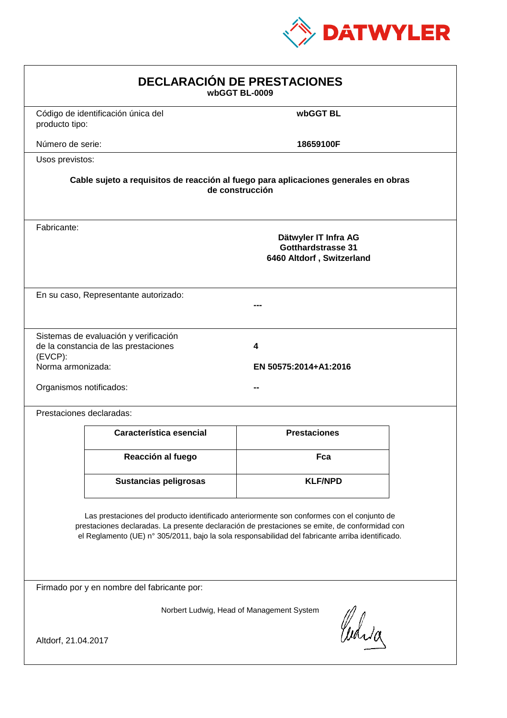

| <b>DECLARACIÓN DE PRESTACIONES</b><br>wbGGT BL-0009                                                                                                                                                                                                                                            |                                                                                                        |                     |  |  |  |
|------------------------------------------------------------------------------------------------------------------------------------------------------------------------------------------------------------------------------------------------------------------------------------------------|--------------------------------------------------------------------------------------------------------|---------------------|--|--|--|
| producto tipo:                                                                                                                                                                                                                                                                                 | Código de identificación única del                                                                     | wbGGT BL            |  |  |  |
| Número de serie:                                                                                                                                                                                                                                                                               |                                                                                                        | 18659100F           |  |  |  |
| Usos previstos:                                                                                                                                                                                                                                                                                |                                                                                                        |                     |  |  |  |
|                                                                                                                                                                                                                                                                                                | Cable sujeto a requisitos de reacción al fuego para aplicaciones generales en obras<br>de construcción |                     |  |  |  |
| Fabricante:                                                                                                                                                                                                                                                                                    | Dätwyler IT Infra AG<br><b>Gotthardstrasse 31</b><br>6460 Altdorf, Switzerland                         |                     |  |  |  |
|                                                                                                                                                                                                                                                                                                | En su caso, Representante autorizado:                                                                  |                     |  |  |  |
| Sistemas de evaluación y verificación<br>de la constancia de las prestaciones<br>4<br>(EVCP):<br>Norma armonizada:<br>EN 50575:2014+A1:2016<br>Organismos notificados:                                                                                                                         |                                                                                                        |                     |  |  |  |
|                                                                                                                                                                                                                                                                                                | Prestaciones declaradas:                                                                               |                     |  |  |  |
|                                                                                                                                                                                                                                                                                                | Característica esencial                                                                                | <b>Prestaciones</b> |  |  |  |
|                                                                                                                                                                                                                                                                                                | Reacción al fuego                                                                                      | Fca                 |  |  |  |
|                                                                                                                                                                                                                                                                                                | Sustancias peligrosas                                                                                  | <b>KLF/NPD</b>      |  |  |  |
| Las prestaciones del producto identificado anteriormente son conformes con el conjunto de<br>prestaciones declaradas. La presente declaración de prestaciones se emite, de conformidad con<br>el Reglamento (UE) nº 305/2011, bajo la sola responsabilidad del fabricante arriba identificado. |                                                                                                        |                     |  |  |  |
| Firmado por y en nombre del fabricante por:                                                                                                                                                                                                                                                    |                                                                                                        |                     |  |  |  |
| Norbert Ludwig, Head of Management System<br>Curia<br>Altdorf, 21.04.2017                                                                                                                                                                                                                      |                                                                                                        |                     |  |  |  |
|                                                                                                                                                                                                                                                                                                |                                                                                                        |                     |  |  |  |